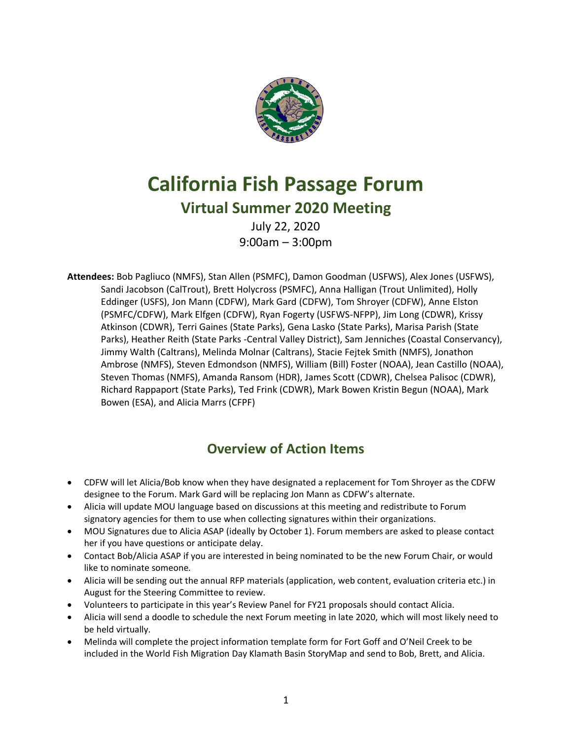

# **California Fish Passage Forum**

# **Virtual Summer 2020 Meeting**

July 22, 2020 9:00am – 3:00pm

**Attendees:** Bob Pagliuco (NMFS), Stan Allen (PSMFC), Damon Goodman (USFWS), Alex Jones (USFWS), Sandi Jacobson (CalTrout), Brett Holycross (PSMFC), Anna Halligan (Trout Unlimited), Holly Eddinger (USFS), Jon Mann (CDFW), Mark Gard (CDFW), Tom Shroyer (CDFW), Anne Elston (PSMFC/CDFW), Mark Elfgen (CDFW), Ryan Fogerty (USFWS-NFPP), Jim Long (CDWR), Krissy Atkinson (CDWR), Terri Gaines (State Parks), Gena Lasko (State Parks), Marisa Parish (State Parks), Heather Reith (State Parks -Central Valley District), Sam Jenniches (Coastal Conservancy), Jimmy Walth (Caltrans), Melinda Molnar (Caltrans), Stacie Fejtek Smith (NMFS), Jonathon Ambrose (NMFS), Steven Edmondson (NMFS), William (Bill) Foster (NOAA), Jean Castillo (NOAA), Steven Thomas (NMFS), Amanda Ransom (HDR), James Scott (CDWR), Chelsea Palisoc (CDWR), Richard Rappaport (State Parks), Ted Frink (CDWR), Mark Bowen Kristin Begun (NOAA), Mark Bowen (ESA), and Alicia Marrs (CFPF)

# **Overview of Action Items**

- CDFW will let Alicia/Bob know when they have designated a replacement for Tom Shroyer as the CDFW designee to the Forum. Mark Gard will be replacing Jon Mann as CDFW's alternate.
- Alicia will update MOU language based on discussions at this meeting and redistribute to Forum signatory agencies for them to use when collecting signatures within their organizations.
- MOU Signatures due to Alicia ASAP (ideally by October 1). Forum members are asked to please contact her if you have questions or anticipate delay.
- Contact Bob/Alicia ASAP if you are interested in being nominated to be the new Forum Chair, or would like to nominate someone.
- Alicia will be sending out the annual RFP materials (application, web content, evaluation criteria etc.) in August for the Steering Committee to review.
- Volunteers to participate in this year's Review Panel for FY21 proposals should contact Alicia.
- Alicia will send a doodle to schedule the next Forum meeting in late 2020, which will most likely need to be held virtually.
- Melinda will complete the project information template form for Fort Goff and O'Neil Creek to be included in the World Fish Migration Day Klamath Basin StoryMap and send to Bob, Brett, and Alicia.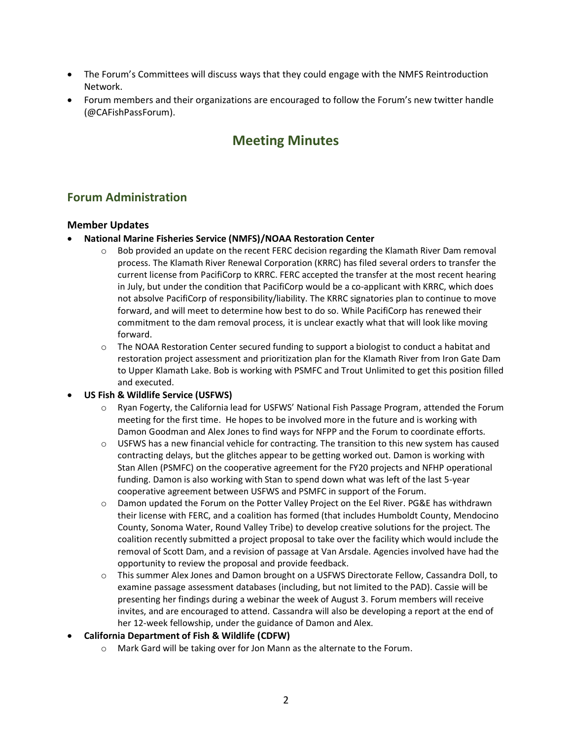- The Forum's Committees will discuss ways that they could engage with the NMFS Reintroduction Network.
- Forum members and their organizations are encouraged to follow the Forum's new twitter handle (@CAFishPassForum).

# **Meeting Minutes**

# **Forum Administration**

#### **Member Updates**

- **National Marine Fisheries Service (NMFS)/NOAA Restoration Center**
	- $\circ$  Bob provided an update on the recent FERC decision regarding the Klamath River Dam removal process. The Klamath River Renewal Corporation (KRRC) has filed several orders to transfer the current license from PacifiCorp to KRRC. FERC accepted the transfer at the most recent hearing in July, but under the condition that PacifiCorp would be a co-applicant with KRRC, which does not absolve PacifiCorp of responsibility/liability. The KRRC signatories plan to continue to move forward, and will meet to determine how best to do so. While PacifiCorp has renewed their commitment to the dam removal process, it is unclear exactly what that will look like moving forward.
	- $\circ$  The NOAA Restoration Center secured funding to support a biologist to conduct a habitat and restoration project assessment and prioritization plan for the Klamath River from Iron Gate Dam to Upper Klamath Lake. Bob is working with PSMFC and Trout Unlimited to get this position filled and executed.

#### • **US Fish & Wildlife Service (USFWS)**

- o Ryan Fogerty, the California lead for USFWS' National Fish Passage Program, attended the Forum meeting for the first time. He hopes to be involved more in the future and is working with Damon Goodman and Alex Jones to find ways for NFPP and the Forum to coordinate efforts.
- $\circ$  USFWS has a new financial vehicle for contracting. The transition to this new system has caused contracting delays, but the glitches appear to be getting worked out. Damon is working with Stan Allen (PSMFC) on the cooperative agreement for the FY20 projects and NFHP operational funding. Damon is also working with Stan to spend down what was left of the last 5-year cooperative agreement between USFWS and PSMFC in support of the Forum.
- o Damon updated the Forum on the Potter Valley Project on the Eel River. PG&E has withdrawn their license with FERC, and a coalition has formed (that includes Humboldt County, Mendocino County, Sonoma Water, Round Valley Tribe) to develop creative solutions for the project. The coalition recently submitted a project proposal to take over the facility which would include the removal of Scott Dam, and a revision of passage at Van Arsdale. Agencies involved have had the opportunity to review the proposal and provide feedback.
- o This summer Alex Jones and Damon brought on a USFWS Directorate Fellow, Cassandra Doll, to examine passage assessment databases (including, but not limited to the PAD). Cassie will be presenting her findings during a webinar the week of August 3. Forum members will receive invites, and are encouraged to attend. Cassandra will also be developing a report at the end of her 12-week fellowship, under the guidance of Damon and Alex.

#### • **California Department of Fish & Wildlife (CDFW)**

o Mark Gard will be taking over for Jon Mann as the alternate to the Forum.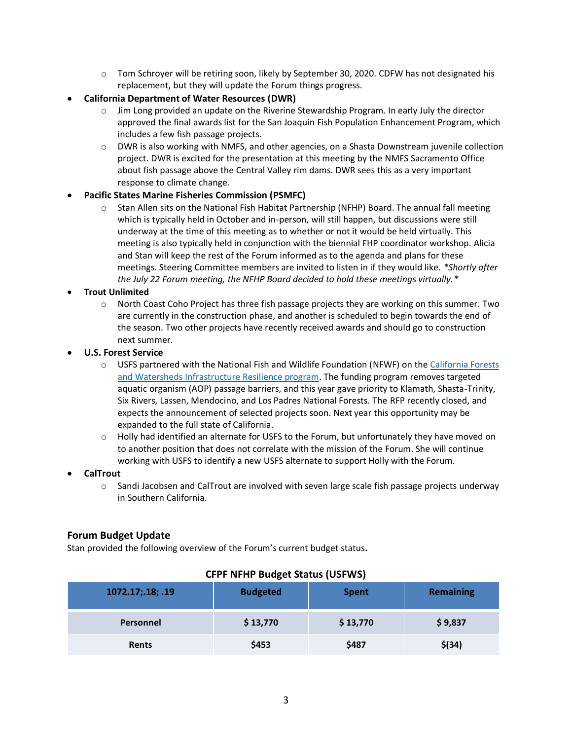- $\circ$  Tom Schroyer will be retiring soon, likely by September 30, 2020. CDFW has not designated his replacement, but they will update the Forum things progress.
- **California Department of Water Resources (DWR)**
	- $\circ$  Jim Long provided an update on the Riverine Stewardship Program. In early July the director approved the final awards list for the San Joaquin Fish Population Enhancement Program, which includes a few fish passage projects.
	- o DWR is also working with NMFS, and other agencies, on a Shasta Downstream juvenile collection project. DWR is excited for the presentation at this meeting by the NMFS Sacramento Office about fish passage above the Central Valley rim dams. DWR sees this as a very important response to climate change.

#### • **Pacific States Marine Fisheries Commission (PSMFC)**

o Stan Allen sits on the National Fish Habitat Partnership (NFHP) Board. The annual fall meeting which is typically held in October and in-person, will still happen, but discussions were still underway at the time of this meeting as to whether or not it would be held virtually. This meeting is also typically held in conjunction with the biennial FHP coordinator workshop. Alicia and Stan will keep the rest of the Forum informed as to the agenda and plans for these meetings. Steering Committee members are invited to listen in if they would like. *\*Shortly after the July 22 Forum meeting, the NFHP Board decided to hold these meetings virtually.\**

#### • **Trout Unlimited**

- o North Coast Coho Project has three fish passage projects they are working on this summer. Two are currently in the construction phase, and another is scheduled to begin towards the end of the season. Two other projects have recently received awards and should go to construction next summer.
- **U.S. Forest Service**
	- o USFS partnered with the National Fish and Wildlife Foundation (NFWF) on th[e California Forests](%09https:/www.nfwf.org/programs/northern-california-forests-and-watersheds/california-forests-and-watersheds)  [and Watersheds Infrastructure Resilience program.](%09https:/www.nfwf.org/programs/northern-california-forests-and-watersheds/california-forests-and-watersheds) The funding program removes targeted aquatic organism (AOP) passage barriers, and this year gave priority to Klamath, Shasta-Trinity, Six Rivers, Lassen, Mendocino, and Los Padres National Forests. The RFP recently closed, and expects the announcement of selected projects soon. Next year this opportunity may be expanded to the full state of California.
	- $\circ$  Holly had identified an alternate for USFS to the Forum, but unfortunately they have moved on to another position that does not correlate with the mission of the Forum. She will continue working with USFS to identify a new USFS alternate to support Holly with the Forum.
- **CalTrout**
	- $\circ$  Sandi Jacobsen and CalTrout are involved with seven large scale fish passage projects underway in Southern California.

#### **Forum Budget Update**

Stan provided the following overview of the Forum's current budget status**.** 

| 1072.17;.18; .19 | <b>Budgeted</b> | <b>Spent</b> | <b>Remaining</b> |
|------------------|-----------------|--------------|------------------|
| Personnel        | \$13,770        | \$13,770     | \$9,837          |
| Rents            | \$453           | \$487        | $$$ (34)         |

#### **CFPF NFHP Budget Status (USFWS)**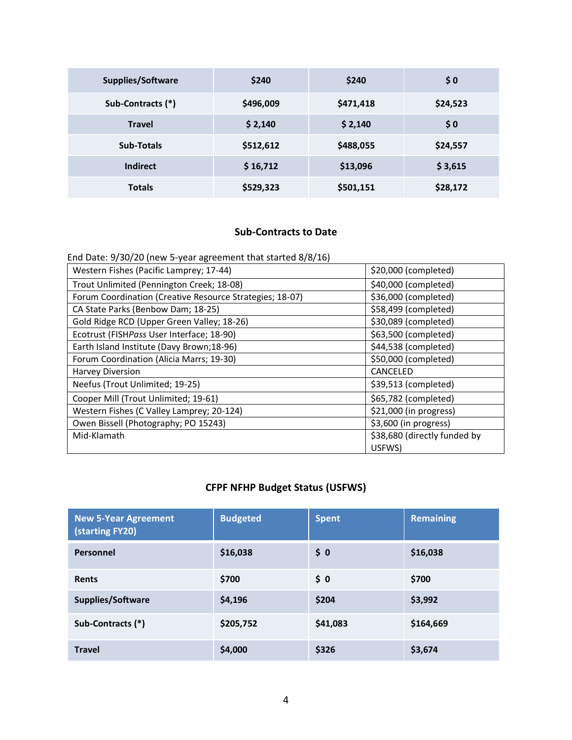| <b>Supplies/Software</b> | \$240     | \$240     | \$0      |
|--------------------------|-----------|-----------|----------|
| Sub-Contracts (*)        | \$496,009 | \$471,418 | \$24,523 |
| <b>Travel</b>            | \$2,140   | \$2,140   | \$0      |
| Sub-Totals               | \$512,612 | \$488,055 | \$24,557 |
| <b>Indirect</b>          | \$16,712  | \$13,096  | \$3,615  |
| <b>Totals</b>            | \$529,323 | \$501,151 | \$28,172 |

### **Sub-Contracts to Date**

End Date: 9/30/20 (new 5-year agreement that started 8/8/16)

| Western Fishes (Pacific Lamprey; 17-44)                  | \$20,000 (completed)         |
|----------------------------------------------------------|------------------------------|
| Trout Unlimited (Pennington Creek; 18-08)                | \$40,000 (completed)         |
| Forum Coordination (Creative Resource Strategies; 18-07) | \$36,000 (completed)         |
| CA State Parks (Benbow Dam; 18-25)                       | \$58,499 (completed)         |
| Gold Ridge RCD (Upper Green Valley; 18-26)               | \$30,089 (completed)         |
| Ecotrust (FISHPass User Interface; 18-90)                | \$63,500 (completed)         |
| Earth Island Institute (Davy Brown;18-96)                | \$44,538 (completed)         |
| Forum Coordination (Alicia Marrs; 19-30)                 | \$50,000 (completed)         |
| Harvey Diversion                                         | CANCELED                     |
| Neefus (Trout Unlimited; 19-25)                          | \$39,513 (completed)         |
| Cooper Mill (Trout Unlimited; 19-61)                     | \$65,782 (completed)         |
| Western Fishes (C Valley Lamprey; 20-124)                | \$21,000 (in progress)       |
| Owen Bissell (Photography; PO 15243)                     | \$3,600 (in progress)        |
| Mid-Klamath                                              | \$38,680 (directly funded by |
|                                                          | USFWS)                       |

# **CFPF NFHP Budget Status (USFWS)**

| <b>New 5-Year Agreement</b><br>(starting FY20) | <b>Budgeted</b> | <b>Spent</b> | <b>Remaining</b> |
|------------------------------------------------|-----------------|--------------|------------------|
| Personnel                                      | \$16,038        | \$0          | \$16,038         |
| Rents                                          | \$700           | \$0          | \$700            |
| Supplies/Software                              | \$4,196         | \$204        | \$3,992          |
| Sub-Contracts (*)                              | \$205,752       | \$41,083     | \$164,669        |
| <b>Travel</b>                                  | \$4,000         | \$326        | \$3,674          |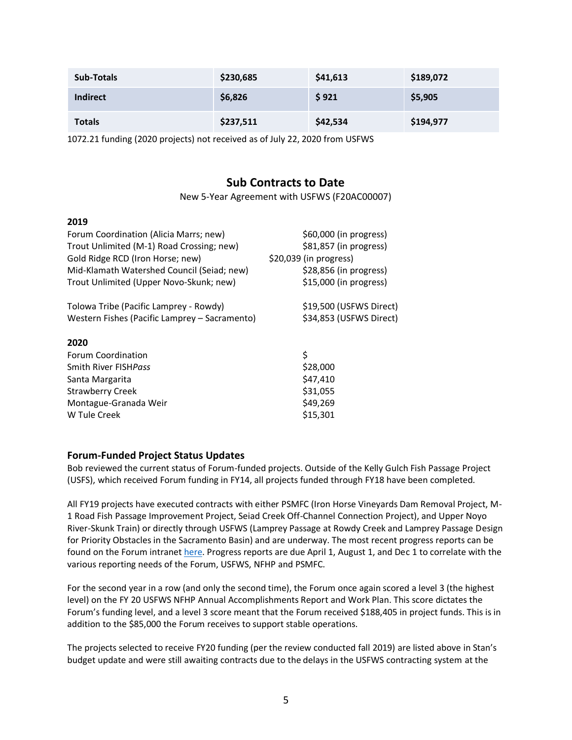| <b>Sub-Totals</b> | \$230,685 | \$41,613 | \$189,072 |
|-------------------|-----------|----------|-----------|
| <b>Indirect</b>   | \$6,826   | \$921    | \$5,905   |
| <b>Totals</b>     | \$237,511 | \$42,534 | \$194,977 |

1072.21 funding (2020 projects) not received as of July 22, 2020 from USFWS

# **Sub Contracts to Date**

New 5-Year Agreement with USFWS (F20AC00007)

#### **2019**

| Forum Coordination (Alicia Marrs; new)<br>Trout Unlimited (M-1) Road Crossing; new)<br>Gold Ridge RCD (Iron Horse; new)<br>Mid-Klamath Watershed Council (Seiad; new)<br>Trout Unlimited (Upper Novo-Skunk; new) | \$60,000 (in progress)<br>\$81,857 (in progress)<br>\$20,039 (in progress)<br>\$28,856 (in progress)<br>$$15,000$ (in progress) |
|------------------------------------------------------------------------------------------------------------------------------------------------------------------------------------------------------------------|---------------------------------------------------------------------------------------------------------------------------------|
| Tolowa Tribe (Pacific Lamprey - Rowdy)<br>Western Fishes (Pacific Lamprey - Sacramento)                                                                                                                          | \$19,500 (USFWS Direct)<br>\$34,853 (USFWS Direct)                                                                              |
| 2020                                                                                                                                                                                                             |                                                                                                                                 |
| <b>Forum Coordination</b>                                                                                                                                                                                        | \$                                                                                                                              |
| Smith River FISHPass                                                                                                                                                                                             | \$28,000                                                                                                                        |
| Santa Margarita                                                                                                                                                                                                  | \$47,410                                                                                                                        |
| <b>Strawberry Creek</b>                                                                                                                                                                                          | \$31,055                                                                                                                        |
| Montague-Granada Weir                                                                                                                                                                                            | \$49,269                                                                                                                        |
| W Tule Creek                                                                                                                                                                                                     | \$15,301                                                                                                                        |

### **Forum-Funded Project Status Updates**

Bob reviewed the current status of Forum-funded projects. Outside of the Kelly Gulch Fish Passage Project (USFS), which received Forum funding in FY14, all projects funded through FY18 have been completed.

All FY19 projects have executed contracts with either PSMFC (Iron Horse Vineyards Dam Removal Project, M-1 Road Fish Passage Improvement Project, Seiad Creek Off-Channel Connection Project), and Upper Noyo River-Skunk Train) or directly through USFWS (Lamprey Passage at Rowdy Creek and Lamprey Passage Design for Priority Obstacles in the Sacramento Basin) and are underway. The most recent progress reports can be found on the Forum intranet [here.](https://www.cafishpassageforum.org/intranet) Progress reports are due April 1, August 1, and Dec 1 to correlate with the various reporting needs of the Forum, USFWS, NFHP and PSMFC.

For the second year in a row (and only the second time), the Forum once again scored a level 3 (the highest level) on the FY 20 USFWS NFHP Annual Accomplishments Report and Work Plan. This score dictates the Forum's funding level, and a level 3 score meant that the Forum received \$188,405 in project funds. This is in addition to the \$85,000 the Forum receives to support stable operations.

The projects selected to receive FY20 funding (per the review conducted fall 2019) are listed above in Stan's budget update and were still awaiting contracts due to the delays in the USFWS contracting system at the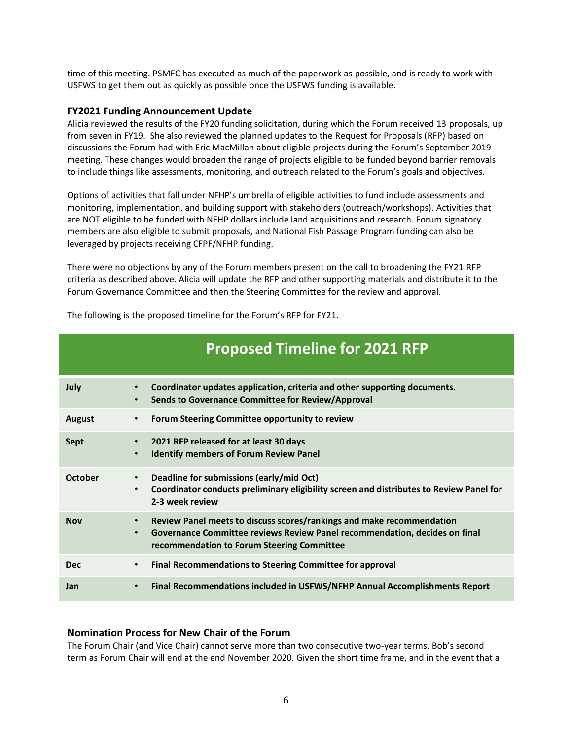time of this meeting. PSMFC has executed as much of the paperwork as possible, and is ready to work with USFWS to get them out as quickly as possible once the USFWS funding is available.

#### **FY2021 Funding Announcement Update**

Alicia reviewed the results of the FY20 funding solicitation, during which the Forum received 13 proposals, up from seven in FY19. She also reviewed the planned updates to the Request for Proposals (RFP) based on discussions the Forum had with Eric MacMillan about eligible projects during the Forum's September 2019 meeting. These changes would broaden the range of projects eligible to be funded beyond barrier removals to include things like assessments, monitoring, and outreach related to the Forum's goals and objectives.

Options of activities that fall under NFHP's umbrella of eligible activities to fund include assessments and monitoring, implementation, and building support with stakeholders (outreach/workshops). Activities that are NOT eligible to be funded with NFHP dollars include land acquisitions and research. Forum signatory members are also eligible to submit proposals, and National Fish Passage Program funding can also be leveraged by projects receiving CFPF/NFHP funding.

There were no objections by any of the Forum members present on the call to broadening the FY21 RFP criteria as described above. Alicia will update the RFP and other supporting materials and distribute it to the Forum Governance Committee and then the Steering Committee for the review and approval.

|               | <b>Proposed Timeline for 2021 RFP</b>                                                                                                                                                                                       |
|---------------|-----------------------------------------------------------------------------------------------------------------------------------------------------------------------------------------------------------------------------|
| July          | Coordinator updates application, criteria and other supporting documents.<br>$\bullet$<br>Sends to Governance Committee for Review/Approval<br>$\bullet$                                                                    |
| <b>August</b> | Forum Steering Committee opportunity to review<br>$\bullet$                                                                                                                                                                 |
| Sept          | 2021 RFP released for at least 30 days<br>$\bullet$<br><b>Identify members of Forum Review Panel</b><br>$\bullet$                                                                                                           |
| October       | Deadline for submissions (early/mid Oct)<br>$\bullet$<br>Coordinator conducts preliminary eligibility screen and distributes to Review Panel for<br>$\bullet$<br>2-3 week review                                            |
| <b>Nov</b>    | Review Panel meets to discuss scores/rankings and make recommendation<br>$\bullet$<br>Governance Committee reviews Review Panel recommendation, decides on final<br>$\bullet$<br>recommendation to Forum Steering Committee |
| <b>Dec</b>    | <b>Final Recommendations to Steering Committee for approval</b><br>$\bullet$                                                                                                                                                |
| Jan           | Final Recommendations included in USFWS/NFHP Annual Accomplishments Report<br>$\bullet$                                                                                                                                     |

The following is the proposed timeline for the Forum's RFP for FY21.

#### **Nomination Process for New Chair of the Forum**

The Forum Chair (and Vice Chair) cannot serve more than two consecutive two-year terms. Bob's second term as Forum Chair will end at the end November 2020. Given the short time frame, and in the event that a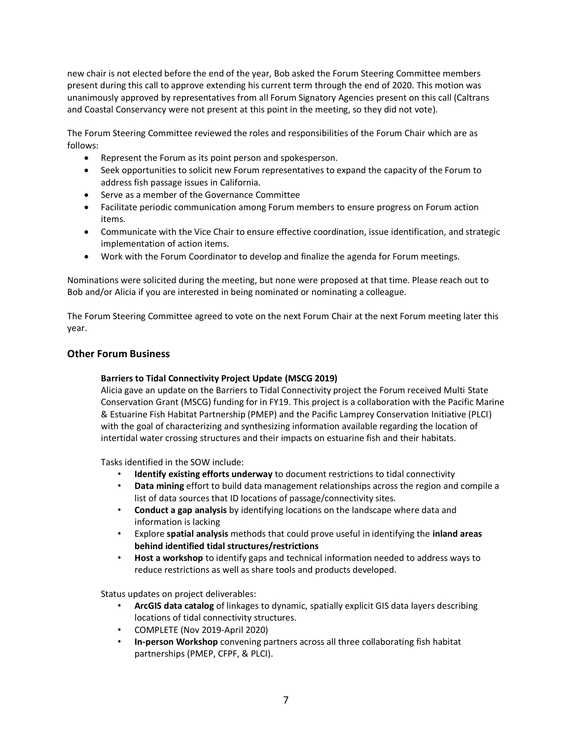new chair is not elected before the end of the year, Bob asked the Forum Steering Committee members present during this call to approve extending his current term through the end of 2020. This motion was unanimously approved by representatives from all Forum Signatory Agencies present on this call (Caltrans and Coastal Conservancy were not present at this point in the meeting, so they did not vote).

The Forum Steering Committee reviewed the roles and responsibilities of the Forum Chair which are as follows:

- Represent the Forum as its point person and spokesperson.
- Seek opportunities to solicit new Forum representatives to expand the capacity of the Forum to address fish passage issues in California.
- Serve as a member of the Governance Committee
- Facilitate periodic communication among Forum members to ensure progress on Forum action items.
- Communicate with the Vice Chair to ensure effective coordination, issue identification, and strategic implementation of action items.
- Work with the Forum Coordinator to develop and finalize the agenda for Forum meetings.

Nominations were solicited during the meeting, but none were proposed at that time. Please reach out to Bob and/or Alicia if you are interested in being nominated or nominating a colleague.

The Forum Steering Committee agreed to vote on the next Forum Chair at the next Forum meeting later this year.

#### **Other Forum Business**

#### **Barriers to Tidal Connectivity Project Update (MSCG 2019)**

Alicia gave an update on the Barriers to Tidal Connectivity project the Forum received Multi State Conservation Grant (MSCG) funding for in FY19. This project is a collaboration with the Pacific Marine & Estuarine Fish Habitat Partnership (PMEP) and the Pacific Lamprey Conservation Initiative (PLCI) with the goal of characterizing and synthesizing information available regarding the location of intertidal water crossing structures and their impacts on estuarine fish and their habitats.

Tasks identified in the SOW include:

- **Identify existing efforts underway** to document restrictions to tidal connectivity
- **Data mining** effort to build data management relationships across the region and compile a list of data sources that ID locations of passage/connectivity sites.
- **Conduct a gap analysis** by identifying locations on the landscape where data and information is lacking
- Explore **spatial analysis** methods that could prove useful in identifying the **inland areas behind identified tidal structures/restrictions**
- **Host a workshop** to identify gaps and technical information needed to address ways to reduce restrictions as well as share tools and products developed.

Status updates on project deliverables:

- **ArcGIS data catalog** of linkages to dynamic, spatially explicit GIS data layers describing locations of tidal connectivity structures.
- COMPLETE (Nov 2019-April 2020)
- **In-person Workshop** convening partners across all three collaborating fish habitat partnerships (PMEP, CFPF, & PLCI).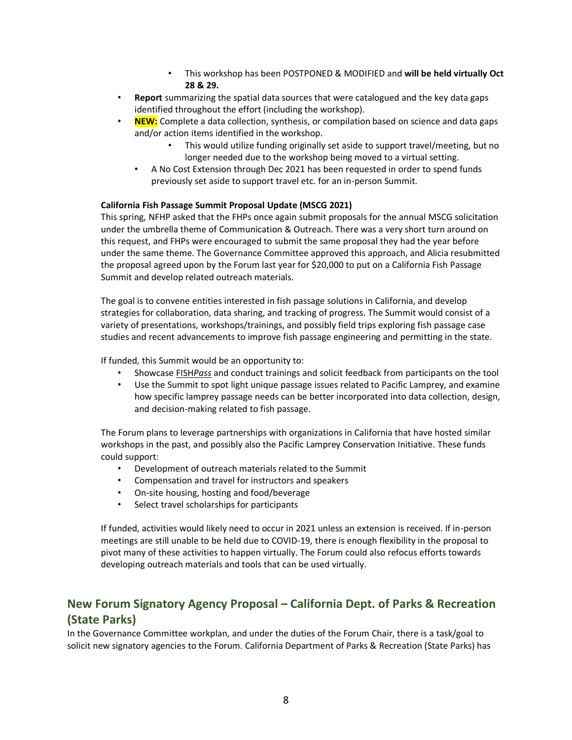- This workshop has been POSTPONED & MODIFIED and **will be held virtually Oct 28 & 29.**
- **Report** summarizing the spatial data sources that were catalogued and the key data gaps identified throughout the effort (including the workshop).
- **NEW:** Complete a data collection, synthesis, or compilation based on science and data gaps and/or action items identified in the workshop.
	- This would utilize funding originally set aside to support travel/meeting, but no longer needed due to the workshop being moved to a virtual setting.
	- A No Cost Extension through Dec 2021 has been requested in order to spend funds previously set aside to support travel etc. for an in-person Summit.

#### **California Fish Passage Summit Proposal Update (MSCG 2021)**

This spring, NFHP asked that the FHPs once again submit proposals for the annual MSCG solicitation under the umbrella theme of Communication & Outreach. There was a very short turn around on this request, and FHPs were encouraged to submit the same proposal they had the year before under the same theme. The Governance Committee approved this approach, and Alicia resubmitted the proposal agreed upon by the Forum last year for \$20,000 to put on a California Fish Passage Summit and develop related outreach materials.

The goal is to convene entities interested in fish passage solutions in California, and develop strategies for collaboration, data sharing, and tracking of progress. The Summit would consist of a variety of presentations, workshops/trainings, and possibly field trips exploring fish passage case studies and recent advancements to improve fish passage engineering and permitting in the state.

If funded, this Summit would be an opportunity to:

- Showcas[e FISH](http://www.fishpass.psmfc.org/)*[Pass](http://www.fishpass.psmfc.org/)* and conduct trainings and solicit feedback from participants on the tool
- Use the Summit to spot light unique passage issues related to Pacific Lamprey, and examine how specific lamprey passage needs can be better incorporated into data collection, design, and decision-making related to fish passage.

The Forum plans to leverage partnerships with organizations in California that have hosted similar workshops in the past, and possibly also the Pacific Lamprey Conservation Initiative. These funds could support:

- Development of outreach materials related to the Summit
- Compensation and travel for instructors and speakers
- On-site housing, hosting and food/beverage
- Select travel scholarships for participants

If funded, activities would likely need to occur in 2021 unless an extension is received. If in-person meetings are still unable to be held due to COVID-19, there is enough flexibility in the proposal to pivot many of these activities to happen virtually. The Forum could also refocus efforts towards developing outreach materials and tools that can be used virtually.

# **New Forum Signatory Agency Proposal – California Dept. of Parks & Recreation (State Parks)**

In the Governance Committee workplan, and under the duties of the Forum Chair, there is a task/goal to solicit new signatory agencies to the Forum. California Department of Parks & Recreation (State Parks) has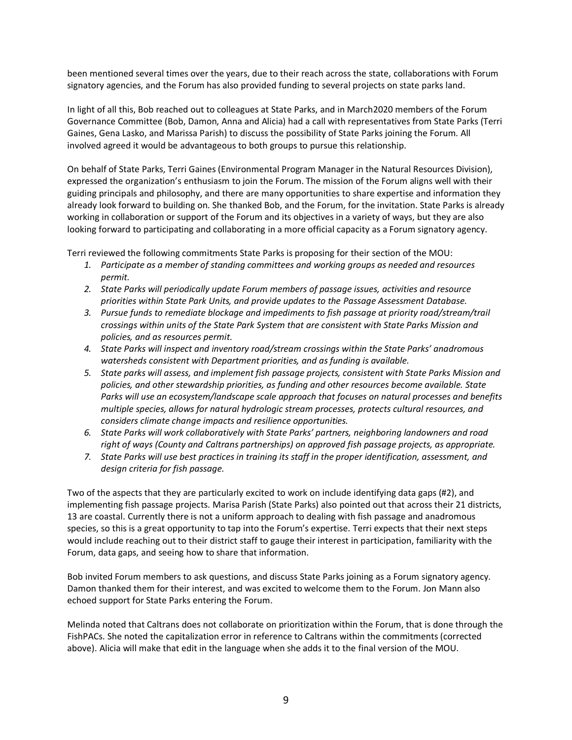been mentioned several times over the years, due to their reach across the state, collaborations with Forum signatory agencies, and the Forum has also provided funding to several projects on state parks land.

In light of all this, Bob reached out to colleagues at State Parks, and in March2020 members of the Forum Governance Committee (Bob, Damon, Anna and Alicia) had a call with representatives from State Parks (Terri Gaines, Gena Lasko, and Marissa Parish) to discuss the possibility of State Parks joining the Forum. All involved agreed it would be advantageous to both groups to pursue this relationship.

On behalf of State Parks, Terri Gaines (Environmental Program Manager in the Natural Resources Division), expressed the organization's enthusiasm to join the Forum. The mission of the Forum aligns well with their guiding principals and philosophy, and there are many opportunities to share expertise and information they already look forward to building on. She thanked Bob, and the Forum, for the invitation. State Parks is already working in collaboration or support of the Forum and its objectives in a variety of ways, but they are also looking forward to participating and collaborating in a more official capacity as a Forum signatory agency.

Terri reviewed the following commitments State Parks is proposing for their section of the MOU:

- *1. Participate as a member of standing committees and working groups as needed and resources permit.*
- *2. State Parks will periodically update Forum members of passage issues, activities and resource priorities within State Park Units, and provide updates to the Passage Assessment Database.*
- *3. Pursue funds to remediate blockage and impediments to fish passage at priority road/stream/trail crossings within units of the State Park System that are consistent with State Parks Mission and policies, and as resources permit.*
- *4. State Parks will inspect and inventory road/stream crossings within the State Parks' anadromous watersheds consistent with Department priorities, and as funding is available.*
- *5. State parks will assess, and implement fish passage projects, consistent with State Parks Mission and policies, and other stewardship priorities, as funding and other resources become available. State Parks will use an ecosystem/landscape scale approach that focuses on natural processes and benefits multiple species, allows for natural hydrologic stream processes, protects cultural resources, and considers climate change impacts and resilience opportunities.*
- *6. State Parks will work collaboratively with State Parks' partners, neighboring landowners and road right of ways (County and Caltrans partnerships) on approved fish passage projects, as appropriate.*
- *7. State Parks will use best practices in training its staff in the proper identification, assessment, and design criteria for fish passage.*

Two of the aspects that they are particularly excited to work on include identifying data gaps (#2), and implementing fish passage projects. Marisa Parish (State Parks) also pointed out that across their 21 districts, 13 are coastal. Currently there is not a uniform approach to dealing with fish passage and anadromous species, so this is a great opportunity to tap into the Forum's expertise. Terri expects that their next steps would include reaching out to their district staff to gauge their interest in participation, familiarity with the Forum, data gaps, and seeing how to share that information.

Bob invited Forum members to ask questions, and discuss State Parks joining as a Forum signatory agency. Damon thanked them for their interest, and was excited to welcome them to the Forum. Jon Mann also echoed support for State Parks entering the Forum.

Melinda noted that Caltrans does not collaborate on prioritization within the Forum, that is done through the FishPACs. She noted the capitalization error in reference to Caltrans within the commitments (corrected above). Alicia will make that edit in the language when she adds it to the final version of the MOU.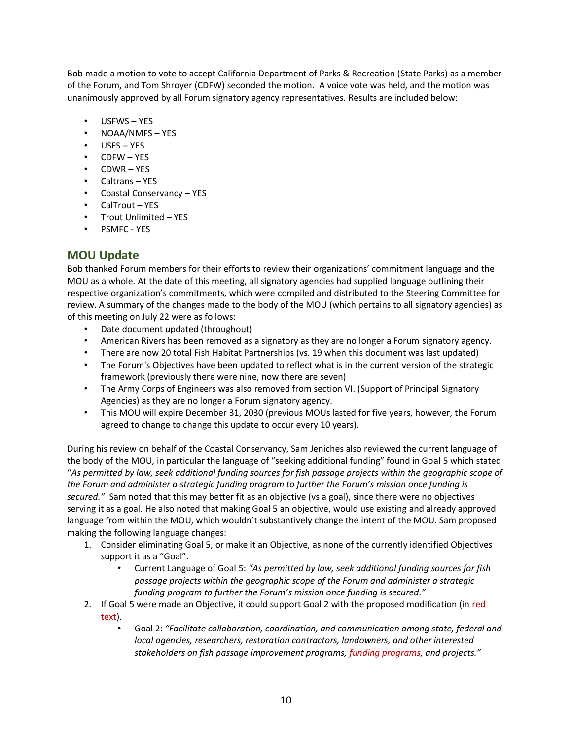Bob made a motion to vote to accept California Department of Parks & Recreation (State Parks) as a member of the Forum, and Tom Shroyer (CDFW) seconded the motion. A voice vote was held, and the motion was unanimously approved by all Forum signatory agency representatives. Results are included below:

- USFWS YES
- NOAA/NMFS YES
- USFS YES
- CDFW YES
- CDWR YES
- Caltrans YES
- Coastal Conservancy YES
- CalTrout YES
- Trout Unlimited YES
- PSMFC YES

# **MOU Update**

Bob thanked Forum members for their efforts to review their organizations' commitment language and the MOU as a whole. At the date of this meeting, all signatory agencies had supplied language outlining their respective organization's commitments, which were compiled and distributed to the Steering Committee for review. A summary of the changes made to the body of the MOU (which pertains to all signatory agencies) as of this meeting on July 22 were as follows:

- Date document updated (throughout)
- American Rivers has been removed as a signatory as they are no longer a Forum signatory agency.
- There are now 20 total Fish Habitat Partnerships (vs. 19 when this document was last updated)
- The Forum's Objectives have been updated to reflect what is in the current version of the strategic framework (previously there were nine, now there are seven)
- The Army Corps of Engineers was also removed from section VI. (Support of Principal Signatory Agencies) as they are no longer a Forum signatory agency.
- This MOU will expire December 31, 2030 (previous MOUs lasted for five years, however, the Forum agreed to change to change this update to occur every 10 years).

During his review on behalf of the Coastal Conservancy, Sam Jeniches also reviewed the current language of the body of the MOU, in particular the language of "seeking additional funding" found in Goal 5 which stated "*As permitted by law, seek additional funding sources for fish passage projects within the geographic scope of the Forum and administer a strategic funding program to further the Forum's mission once funding is secured."* Sam noted that this may better fit as an objective (vs a goal), since there were no objectives serving it as a goal. He also noted that making Goal 5 an objective, would use existing and already approved language from within the MOU, which wouldn't substantively change the intent of the MOU. Sam proposed making the following language changes:

- 1. Consider eliminating Goal 5, or make it an Objective, as none of the currently identified Objectives support it as a "Goal".
	- Current Language of Goal 5: *"As permitted by law, seek additional funding sources for fish passage projects within the geographic scope of the Forum and administer a strategic funding program to further the Forum's mission once funding is secured."*
- 2. If Goal 5 were made an Objective, it could support Goal 2 with the proposed modification (in red text).
	- Goal 2: *"Facilitate collaboration, coordination, and communication among state, federal and local agencies, researchers, restoration contractors, landowners, and other interested stakeholders on fish passage improvement programs, funding programs, and projects."*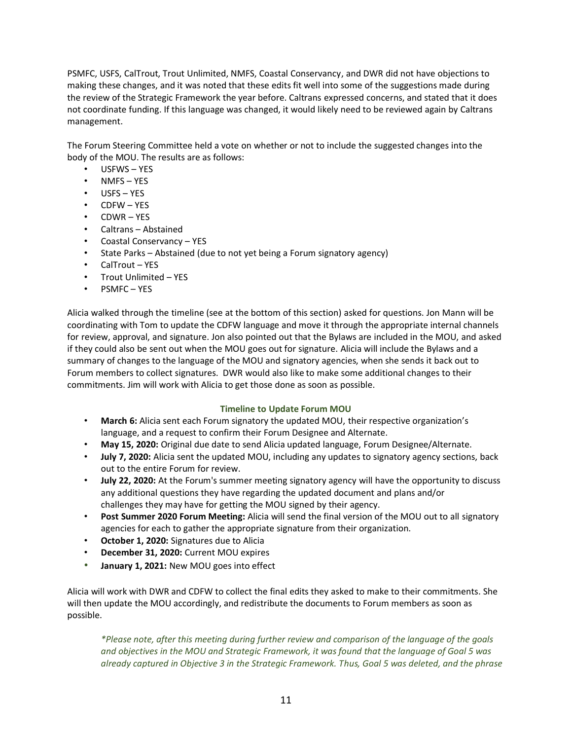PSMFC, USFS, CalTrout, Trout Unlimited, NMFS, Coastal Conservancy, and DWR did not have objections to making these changes, and it was noted that these edits fit well into some of the suggestions made during the review of the Strategic Framework the year before. Caltrans expressed concerns, and stated that it does not coordinate funding. If this language was changed, it would likely need to be reviewed again by Caltrans management.

The Forum Steering Committee held a vote on whether or not to include the suggested changes into the body of the MOU. The results are as follows:

- USFWS YES
- NMFS YES
- USFS YES
- CDFW YES
- CDWR YES
- Caltrans Abstained
- Coastal Conservancy YES
- State Parks Abstained (due to not yet being a Forum signatory agency)
- CalTrout YES
- Trout Unlimited YES
- PSMFC YES

Alicia walked through the timeline (see at the bottom of this section) asked for questions. Jon Mann will be coordinating with Tom to update the CDFW language and move it through the appropriate internal channels for review, approval, and signature. Jon also pointed out that the Bylaws are included in the MOU, and asked if they could also be sent out when the MOU goes out for signature. Alicia will include the Bylaws and a summary of changes to the language of the MOU and signatory agencies, when she sends it back out to Forum members to collect signatures. DWR would also like to make some additional changes to their commitments. Jim will work with Alicia to get those done as soon as possible.

#### **Timeline to Update Forum MOU**

- **March 6:** Alicia sent each Forum signatory the updated MOU, their respective organization's language, and a request to confirm their Forum Designee and Alternate.
- **May 15, 2020:** Original due date to send Alicia updated language, Forum Designee/Alternate.
- **July 7, 2020:** Alicia sent the updated MOU, including any updates to signatory agency sections, back out to the entire Forum for review.
- **July 22, 2020:** At the Forum's summer meeting signatory agency will have the opportunity to discuss any additional questions they have regarding the updated document and plans and/or challenges they may have for getting the MOU signed by their agency.
- **Post Summer 2020 Forum Meeting:** Alicia will send the final version of the MOU out to all signatory agencies for each to gather the appropriate signature from their organization.
- **October 1, 2020:** Signatures due to Alicia
- **December 31, 2020:** Current MOU expires
- **January 1, 2021:** New MOU goes into effect

Alicia will work with DWR and CDFW to collect the final edits they asked to make to their commitments. She will then update the MOU accordingly, and redistribute the documents to Forum members as soon as possible.

*\*Please note, after this meeting during further review and comparison of the language of the goals and objectives in the MOU and Strategic Framework, it was found that the language of Goal 5 was already captured in Objective 3 in the Strategic Framework. Thus, Goal 5 was deleted, and the phrase*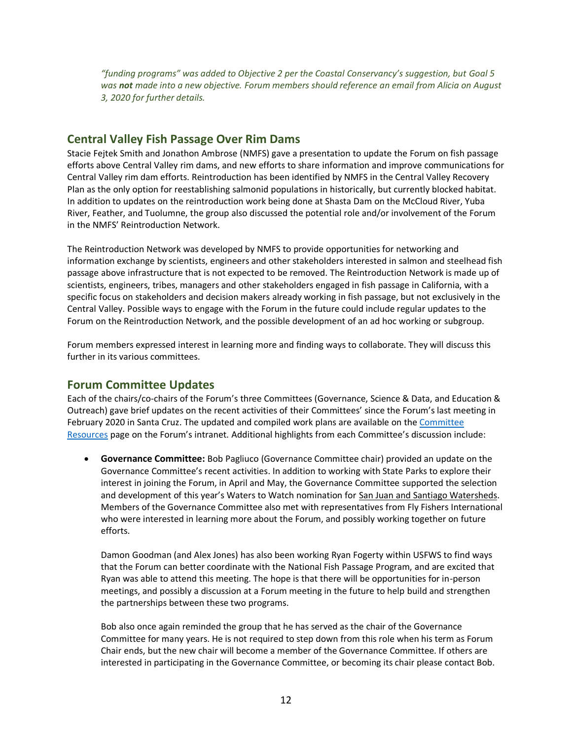"funding programs" was added to Objective 2 per the Coastal Conservancy's suggestion, but Goal 5 *was not made into a new objective. Forum members should reference an email from Alicia on August 3, 2020 for further details.* 

### **Central Valley Fish Passage Over Rim Dams**

Stacie Fejtek Smith and Jonathon Ambrose (NMFS) gave a presentation to update the Forum on fish passage efforts above Central Valley rim dams, and new efforts to share information and improve communications for Central Valley rim dam efforts. Reintroduction has been identified by NMFS in the Central Valley Recovery Plan as the only option for reestablishing salmonid populations in historically, but currently blocked habitat. In addition to updates on the reintroduction work being done at Shasta Dam on the McCloud River, Yuba River, Feather, and Tuolumne, the group also discussed the potential role and/or involvement of the Forum in the NMFS' Reintroduction Network.

The Reintroduction Network was developed by NMFS to provide opportunities for networking and information exchange by scientists, engineers and other stakeholders interested in salmon and steelhead fish passage above infrastructure that is not expected to be removed. The Reintroduction Network is made up of scientists, engineers, tribes, managers and other stakeholders engaged in fish passage in California, with a specific focus on stakeholders and decision makers already working in fish passage, but not exclusively in the Central Valley. Possible ways to engage with the Forum in the future could include regular updates to the Forum on the Reintroduction Network, and the possible development of an ad hoc working or subgroup.

Forum members expressed interest in learning more and finding ways to collaborate. They will discuss this further in its various committees.

# **Forum Committee Updates**

Each of the chairs/co-chairs of the Forum's three Committees (Governance, Science & Data, and Education & Outreach) gave brief updates on the recent activities of their Committees' since the Forum's last meeting in February 2020 in Santa Cruz. The updated and compiled work plans are available on the [Committee](https://www.cafishpassageforum.org/committee-resources-2)  [Resources](https://www.cafishpassageforum.org/committee-resources-2) page on the Forum's intranet. Additional highlights from each Committee's discussion include:

• **Governance Committee:** Bob Pagliuco (Governance Committee chair) provided an update on the Governance Committee's recent activities. In addition to working with State Parks to explore their interest in joining the Forum, in April and May, the Governance Committee supported the selection and development of this year's Waters to Watch nomination for [San Juan and Santiago Watersheds.](http://www.fishhabitat.org/waters-to-watch/detail/san-juan-and-santiago-watersheds-california) Members of the Governance Committee also met with representatives from Fly Fishers International who were interested in learning more about the Forum, and possibly working together on future efforts.

Damon Goodman (and Alex Jones) has also been working Ryan Fogerty within USFWS to find ways that the Forum can better coordinate with the National Fish Passage Program, and are excited that Ryan was able to attend this meeting. The hope is that there will be opportunities for in-person meetings, and possibly a discussion at a Forum meeting in the future to help build and strengthen the partnerships between these two programs.

Bob also once again reminded the group that he has served as the chair of the Governance Committee for many years. He is not required to step down from this role when his term as Forum Chair ends, but the new chair will become a member of the Governance Committee. If others are interested in participating in the Governance Committee, or becoming its chair please contact Bob.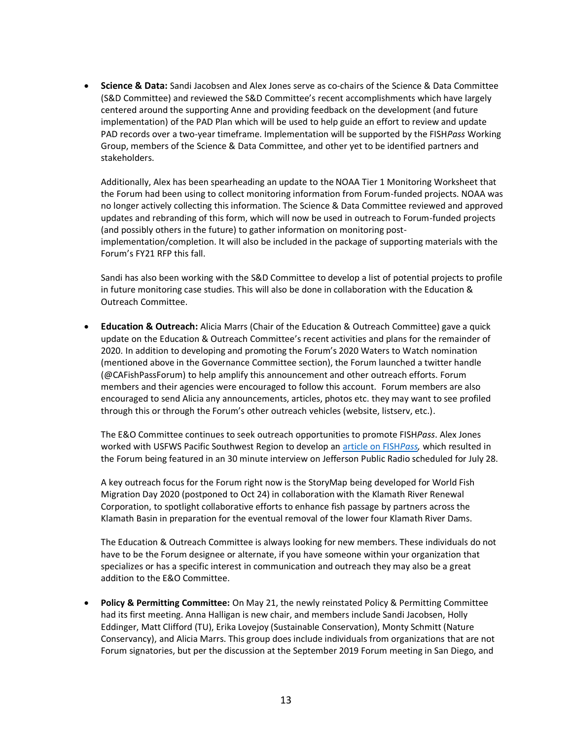• **Science & Data:** Sandi Jacobsen and Alex Jones serve as co-chairs of the Science & Data Committee (S&D Committee) and reviewed the S&D Committee's recent accomplishments which have largely centered around the supporting Anne and providing feedback on the development (and future implementation) of the PAD Plan which will be used to help guide an effort to review and update PAD records over a two-year timeframe. Implementation will be supported by the FISH*Pass* Working Group, members of the Science & Data Committee, and other yet to be identified partners and stakeholders.

Additionally, Alex has been spearheading an update to the NOAA Tier 1 Monitoring Worksheet that the Forum had been using to collect monitoring information from Forum-funded projects. NOAA was no longer actively collecting this information. The Science & Data Committee reviewed and approved updates and rebranding of this form, which will now be used in outreach to Forum-funded projects (and possibly others in the future) to gather information on monitoring postimplementation/completion. It will also be included in the package of supporting materials with the Forum's FY21 RFP this fall.

Sandi has also been working with the S&D Committee to develop a list of potential projects to profile in future monitoring case studies. This will also be done in collaboration with the Education & Outreach Committee.

• **Education & Outreach:** Alicia Marrs (Chair of the Education & Outreach Committee) gave a quick update on the Education & Outreach Committee's recent activities and plans for the remainder of 2020. In addition to developing and promoting the Forum's 2020 Waters to Watch nomination (mentioned above in the Governance Committee section), the Forum launched a twitter handle (@CAFishPassForum) to help amplify this announcement and other outreach efforts. Forum members and their agencies were encouraged to follow this account. Forum members are also encouraged to send Alicia any announcements, articles, photos etc. they may want to see profiled through this or through the Forum's other outreach vehicles (website, listserv, etc.).

The E&O Committee continues to seek outreach opportunities to promote FISH*Pass*. Alex Jones worked with USFWS Pacific Southwest Region to develop an [article on FISH](https://www.fws.gov/cno/newsroom/Highlights/2020/Finding_Their_Way_Fish_Pass/)*Pass,* which resulted in the Forum being featured in an 30 minute interview on Jefferson Public Radio scheduled for July 28.

A key outreach focus for the Forum right now is the StoryMap being developed for World Fish Migration Day 2020 (postponed to Oct 24) in collaboration with the Klamath River Renewal Corporation, to spotlight collaborative efforts to enhance fish passage by partners across the Klamath Basin in preparation for the eventual removal of the lower four Klamath River Dams.

The Education & Outreach Committee is always looking for new members. These individuals do not have to be the Forum designee or alternate, if you have someone within your organization that specializes or has a specific interest in communication and outreach they may also be a great addition to the E&O Committee.

• **Policy & Permitting Committee:** On May 21, the newly reinstated Policy & Permitting Committee had its first meeting. Anna Halligan is new chair, and members include Sandi Jacobsen, Holly Eddinger, Matt Clifford (TU), Erika Lovejoy (Sustainable Conservation), Monty Schmitt (Nature Conservancy), and Alicia Marrs. This group does include individuals from organizations that are not Forum signatories, but per the discussion at the September 2019 Forum meeting in San Diego, and